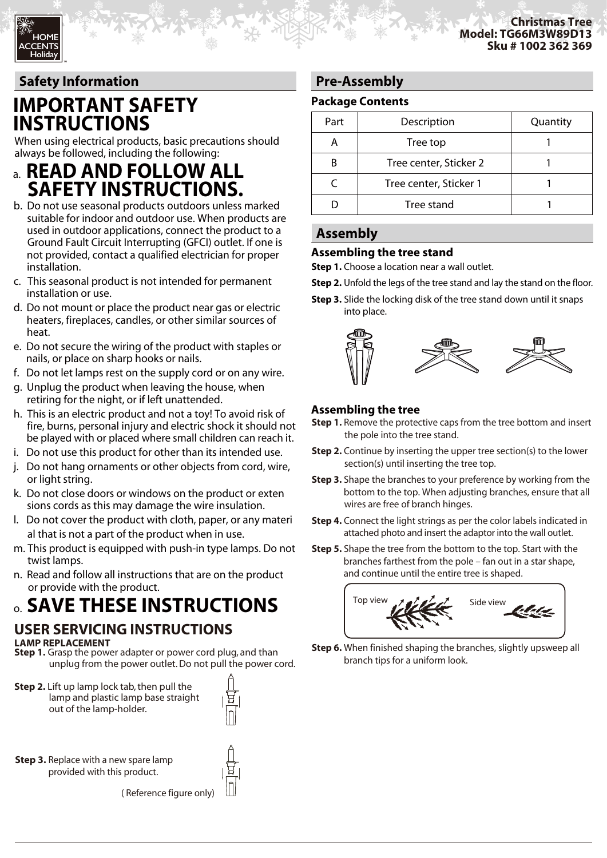# **Safety Information**

TM

# **IMPORTANT SAFETY INSTRUCTIONS**

When using electrical products, basic precautions should always be followed, including the following:

- a. **READ AND FOLLOW ALL SAFETY INSTRUCTIONS.**
- b. Do not use seasonal products outdoors unless marked suitable for indoor and outdoor use. When products are used in outdoor applications, connect the product to a Ground Fault Circuit Interrupting (GFCI) outlet. If one is not provided, contact a qualified electrician for proper installation.
- c. This seasonal product is not intended for permanent installation or use.
- d. Do not mount or place the product near gas or electric heaters, fireplaces, candles, or other similar sources of heat.
- e. Do not secure the wiring of the product with staples or nails, or place on sharp hooks or nails.
- f. Do not let lamps rest on the supply cord or on any wire.
- g. Unplug the product when leaving the house, when retiring for the night, or if left unattended.
- h. This is an electric product and not a toy! To avoid risk of fire, burns, personal injury and electric shock it should not be played with or placed where small children can reach it.
- i. Do not use this product for other than its intended use.
- j. Do not hang ornaments or other objects from cord, wire, or light string.
- k. Do not close doors or windows on the product or exten sions cords as this may damage the wire insulation.
- l. Do not cover the product with cloth, paper, or any materi al that is not a part of the product when in use.
- m. This product is equipped with push-in type lamps. Do not twist lamps.
- n. Read and follow all instructions that are on the product or provide with the product.

# o. **SAVE THESE INSTRUCTIONS**

#### **LAMP REPLACEMENT USER SERVICING INSTRUCTIONS**

**Step 1.** Grasp the power adapter or power cord plug, and than unplug from the power outlet. Do not pull the power cord.

**Step 2.** Lift up lamp lock tab, then pull the lamp and plastic lamp base straight out of the lamp-holder.



**Step 3.** Replace with a new spare lamp provided with this product.

( Reference figure only)

# **Pre-Assembly**

## **Package Contents**

| Part | Description            | Quantity |
|------|------------------------|----------|
|      | Tree top               |          |
|      | Tree center, Sticker 2 |          |
|      | Tree center, Sticker 1 |          |
|      | Tree stand             |          |

## **Assembly**

### **Assembling the tree stand**

**Step 1.** Choose a location near a wall outlet.

- **Step 2.** Unfold the legs of the tree stand and lay the stand on the floor.
- **Step 3.** Slide the locking disk of the tree stand down until it snaps into place.



## **Assembling the tree**

- **Step 1.** Remove the protective caps from the tree bottom and insert the pole into the tree stand.
- **Step 2.** Continue by inserting the upper tree section(s) to the lower section(s) until inserting the tree top.
- **Step 3.** Shape the branches to your preference by working from the bottom to the top. When adjusting branches, ensure that all wires are free of branch hinges.
- **Step 4.** Connect the light strings as per the color labels indicated in attached photo and insert the adaptor into the wall outlet.
- **Step 5.** Shape the tree from the bottom to the top. Start with the branches farthest from the pole – fan out in a star shape, and continue until the entire tree is shaped.



**Step 6.** When finished shaping the branches, slightly upsweep all branch tips for a uniform look.